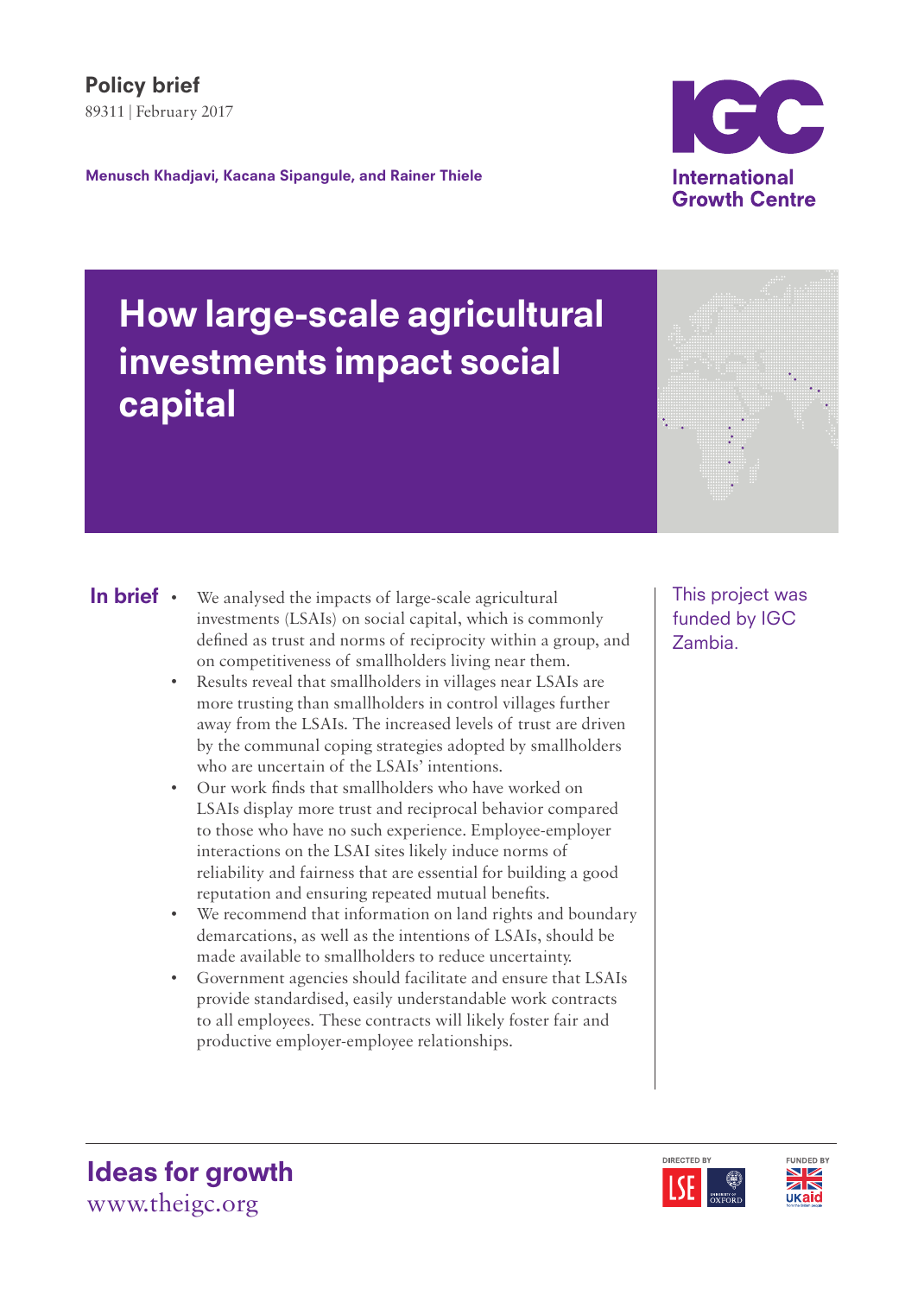

# How large-scale agricultural investments impact social capital

- We analysed the impacts of large-scale agricultural investments (LSAIs) on social capital, which is commonly defined as trust and norms of reciprocity within a group, and on competitiveness of smallholders living near them. In brief .
	- Results reveal that smallholders in villages near LSAIs are more trusting than smallholders in control villages further away from the LSAIs. The increased levels of trust are driven by the communal coping strategies adopted by smallholders who are uncertain of the LSAIs' intentions.
	- Our work finds that smallholders who have worked on LSAIs display more trust and reciprocal behavior compared to those who have no such experience. Employee-employer interactions on the LSAI sites likely induce norms of reliability and fairness that are essential for building a good reputation and ensuring repeated mutual benefits.
	- We recommend that information on land rights and boundary demarcations, as well as the intentions of LSAIs, should be made available to smallholders to reduce uncertainty.
	- Government agencies should facilitate and ensure that LSAIs provide standardised, easily understandable work contracts to all employees. These contracts will likely foster fair and productive employer-employee relationships.

This project was funded by IGC Zambia.





Ideas for growth www.theigc.org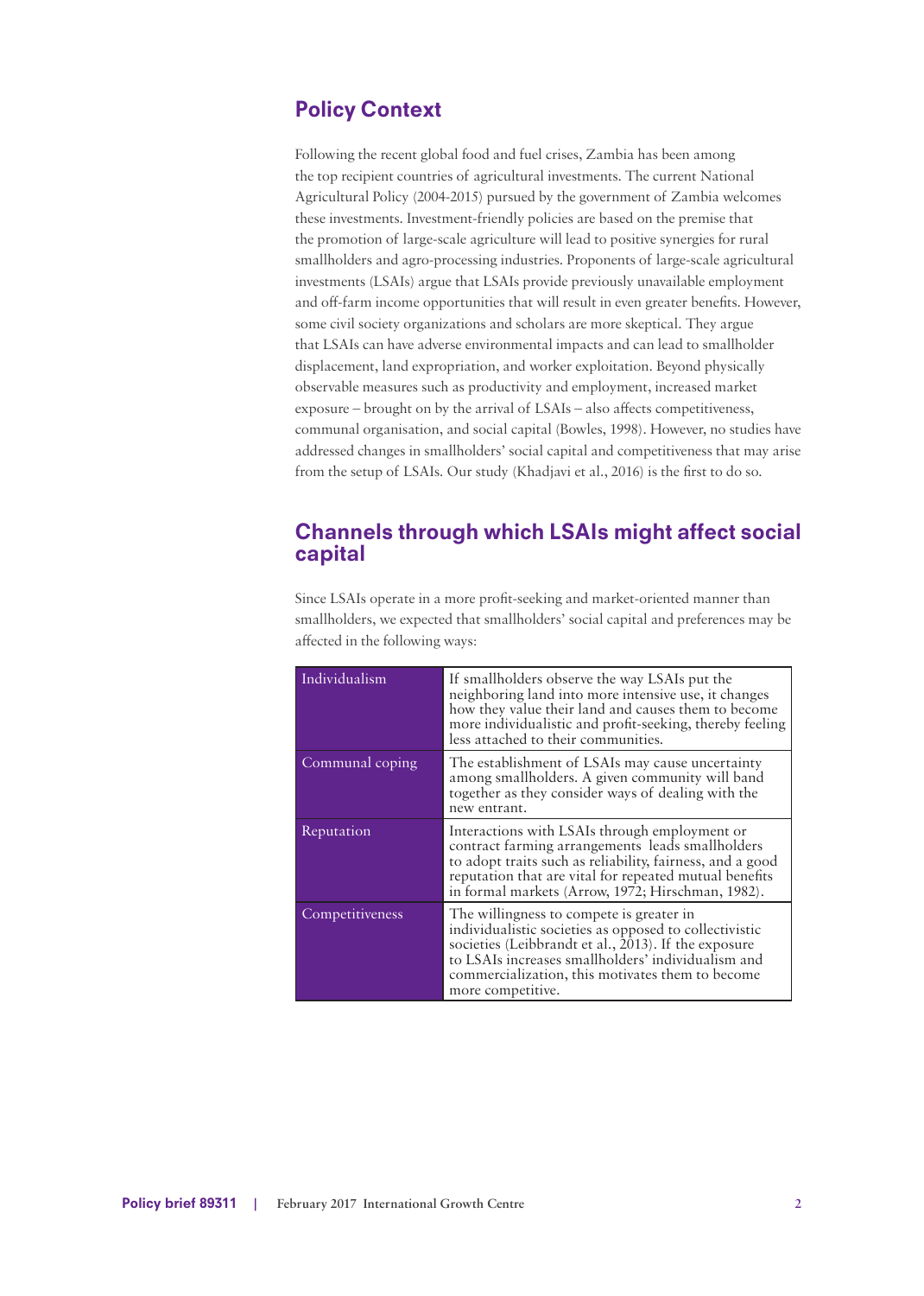# Policy Context

Following the recent global food and fuel crises, Zambia has been among the top recipient countries of agricultural investments. The current National Agricultural Policy (2004-2015) pursued by the government of Zambia welcomes these investments. Investment-friendly policies are based on the premise that the promotion of large-scale agriculture will lead to positive synergies for rural smallholders and agro-processing industries. Proponents of large-scale agricultural investments (LSAIs) argue that LSAIs provide previously unavailable employment and off-farm income opportunities that will result in even greater benefits. However, some civil society organizations and scholars are more skeptical. They argue that LSAIs can have adverse environmental impacts and can lead to smallholder displacement, land expropriation, and worker exploitation. Beyond physically observable measures such as productivity and employment, increased market exposure – brought on by the arrival of LSAIs – also affects competitiveness, communal organisation, and social capital (Bowles, 1998). However, no studies have addressed changes in smallholders' social capital and competitiveness that may arise from the setup of LSAIs. Our study (Khadjavi et al., 2016) is the first to do so.

## Channels through which LSAIs might affect social capital

Since LSAIs operate in a more profit-seeking and market-oriented manner than smallholders, we expected that smallholders' social capital and preferences may be affected in the following ways:

| Individualism   | If smallholders observe the way LSAIs put the<br>neighboring land into more intensive use, it changes<br>how they value their land and causes them to become<br>more individualistic and profit-seeking, thereby feeling<br>less attached to their communities.                              |
|-----------------|----------------------------------------------------------------------------------------------------------------------------------------------------------------------------------------------------------------------------------------------------------------------------------------------|
| Communal coping | The establishment of LSAIs may cause uncertainty<br>among smallholders. A given community will band<br>together as they consider ways of dealing with the<br>new entrant.                                                                                                                    |
| Reputation      | Interactions with LSAIs through employment or<br>contract farming arrangements leads smallholders<br>to adopt traits such as reliability, fairness, and a good<br>reputation that are vital for repeated mutual benefits<br>in formal markets (Arrow, 1972; Hirschman, 1982).                |
| Competitiveness | The willingness to compete is greater in<br>individualistic societies as opposed to collectivistic<br>societies (Leibbrandt et al., $2013$ ). If the exposure<br>to LSAIs increases smallholders' individualism and<br>commercialization, this motivates them to become<br>more competitive. |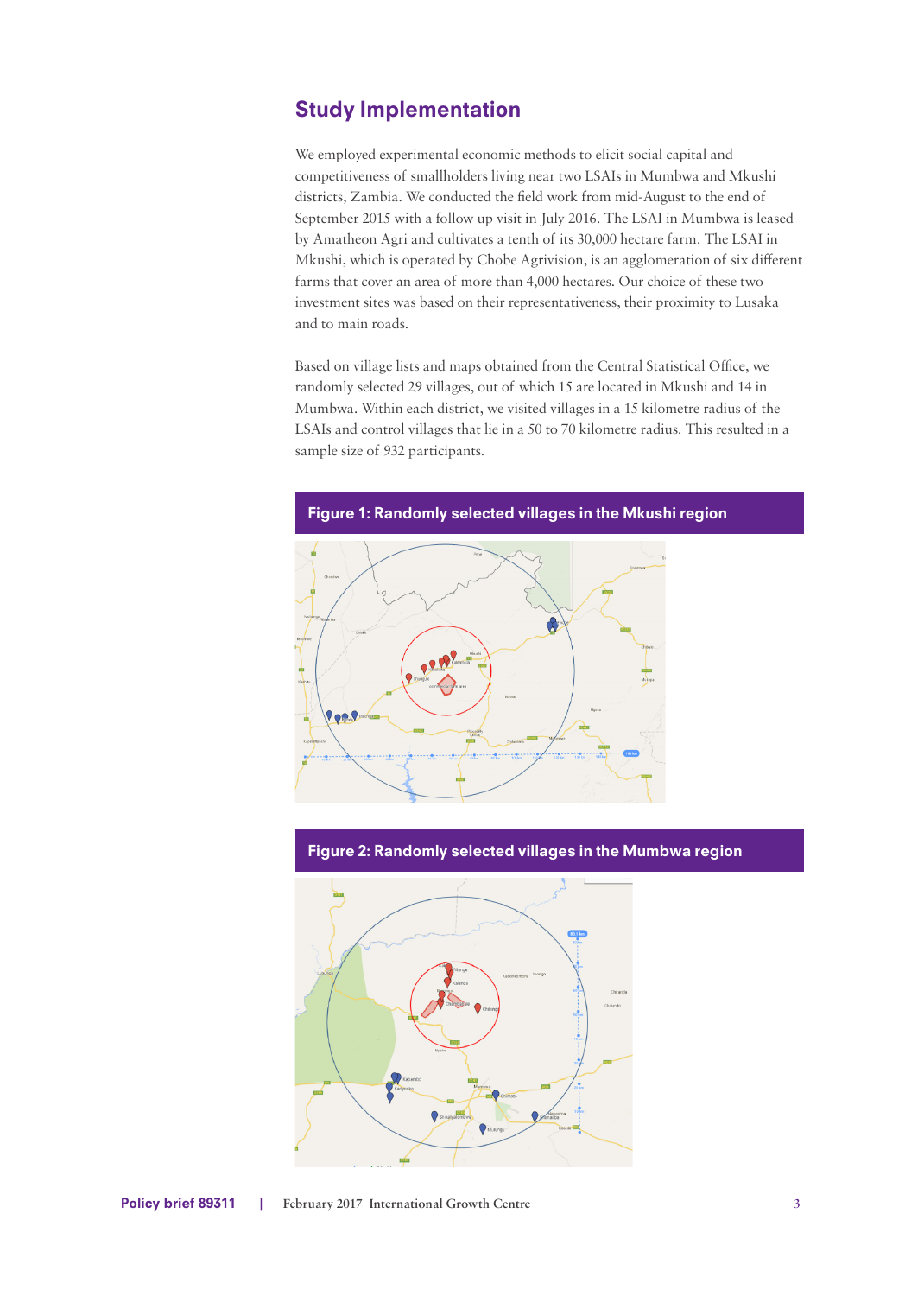# Study Implementation

We employed experimental economic methods to elicit social capital and competitiveness of smallholders living near two LSAIs in Mumbwa and Mkushi districts, Zambia. We conducted the field work from mid-August to the end of September 2015 with a follow up visit in July 2016. The LSAI in Mumbwa is leased by Amatheon Agri and cultivates a tenth of its 30,000 hectare farm. The LSAI in Mkushi, which is operated by Chobe Agrivision, is an agglomeration of six different farms that cover an area of more than 4,000 hectares. Our choice of these two investment sites was based on their representativeness, their proximity to Lusaka and to main roads.

Based on village lists and maps obtained from the Central Statistical Office, we randomly selected 29 villages, out of which 15 are located in Mkushi and 14 in Mumbwa. Within each district, we visited villages in a 15 kilometre radius of the LSAIs and control villages that lie in a 50 to 70 kilometre radius. This resulted in a sample size of 932 participants.



#### Figure 2: Randomly selected villages in the Mumbwa region

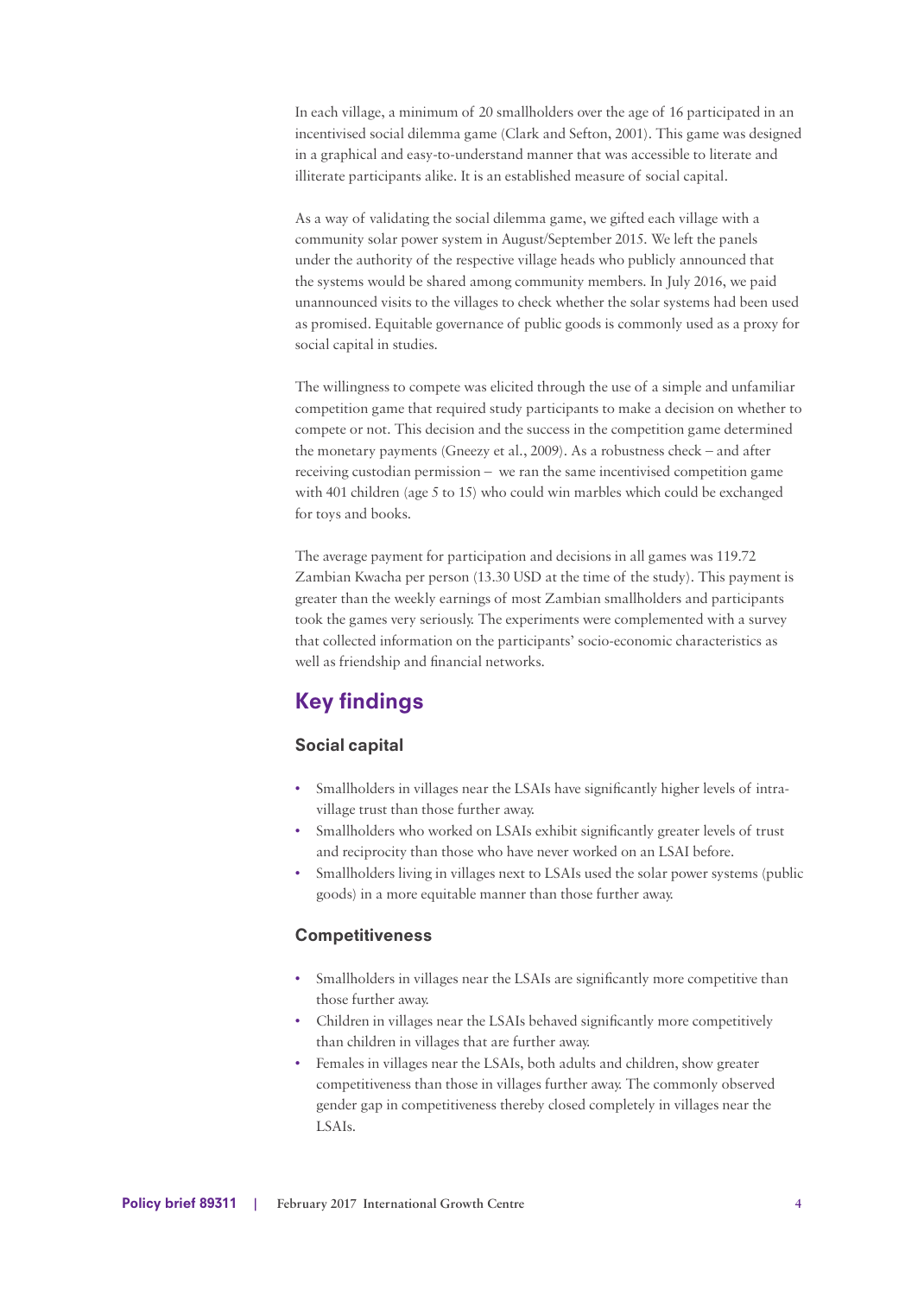In each village, a minimum of 20 smallholders over the age of 16 participated in an incentivised social dilemma game (Clark and Sefton, 2001). This game was designed in a graphical and easy-to-understand manner that was accessible to literate and illiterate participants alike. It is an established measure of social capital.

As a way of validating the social dilemma game, we gifted each village with a community solar power system in August/September 2015. We left the panels under the authority of the respective village heads who publicly announced that the systems would be shared among community members. In July 2016, we paid unannounced visits to the villages to check whether the solar systems had been used as promised. Equitable governance of public goods is commonly used as a proxy for social capital in studies.

The willingness to compete was elicited through the use of a simple and unfamiliar competition game that required study participants to make a decision on whether to compete or not. This decision and the success in the competition game determined the monetary payments (Gneezy et al., 2009). As a robustness check – and after receiving custodian permission – we ran the same incentivised competition game with 401 children (age 5 to 15) who could win marbles which could be exchanged for toys and books.

The average payment for participation and decisions in all games was 119.72 Zambian Kwacha per person (13.30 USD at the time of the study). This payment is greater than the weekly earnings of most Zambian smallholders and participants took the games very seriously. The experiments were complemented with a survey that collected information on the participants' socio-economic characteristics as well as friendship and financial networks.

# Key findings

## Social capital

- Smallholders in villages near the LSAIs have significantly higher levels of intravillage trust than those further away.
- Smallholders who worked on LSAIs exhibit significantly greater levels of trust and reciprocity than those who have never worked on an LSAI before.
- Smallholders living in villages next to LSAIs used the solar power systems (public goods) in a more equitable manner than those further away.

### **Competitiveness**

- Smallholders in villages near the LSAIs are significantly more competitive than those further away.
- Children in villages near the LSAIs behaved significantly more competitively than children in villages that are further away.
- Females in villages near the LSAIs, both adults and children, show greater competitiveness than those in villages further away. The commonly observed gender gap in competitiveness thereby closed completely in villages near the LSAIs.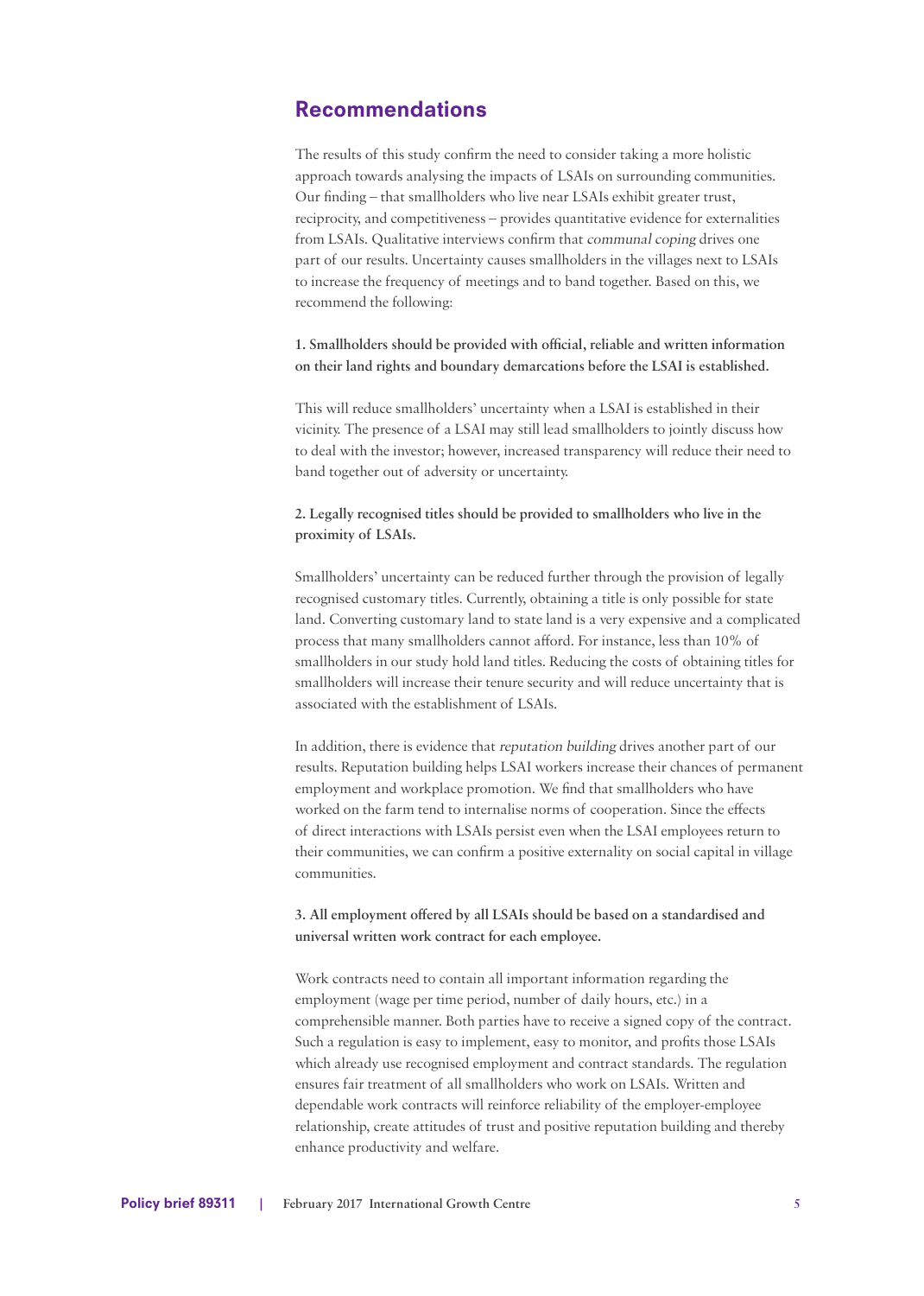## Recommendations

The results of this study confirm the need to consider taking a more holistic approach towards analysing the impacts of LSAIs on surrounding communities. Our finding – that smallholders who live near LSAIs exhibit greater trust, reciprocity, and competitiveness – provides quantitative evidence for externalities from LSAIs. Qualitative interviews confirm that communal coping drives one part of our results. Uncertainty causes smallholders in the villages next to LSAIs to increase the frequency of meetings and to band together. Based on this, we recommend the following:

**1. Smallholders should be provided with official, reliable and written information on their land rights and boundary demarcations before the LSAI is established.**

This will reduce smallholders' uncertainty when a LSAI is established in their vicinity. The presence of a LSAI may still lead smallholders to jointly discuss how to deal with the investor; however, increased transparency will reduce their need to band together out of adversity or uncertainty.

**2. Legally recognised titles should be provided to smallholders who live in the proximity of LSAIs.**

Smallholders' uncertainty can be reduced further through the provision of legally recognised customary titles. Currently, obtaining a title is only possible for state land. Converting customary land to state land is a very expensive and a complicated process that many smallholders cannot afford. For instance, less than 10% of smallholders in our study hold land titles. Reducing the costs of obtaining titles for smallholders will increase their tenure security and will reduce uncertainty that is associated with the establishment of LSAIs.

In addition, there is evidence that reputation building drives another part of our results. Reputation building helps LSAI workers increase their chances of permanent employment and workplace promotion. We find that smallholders who have worked on the farm tend to internalise norms of cooperation. Since the effects of direct interactions with LSAIs persist even when the LSAI employees return to their communities, we can confirm a positive externality on social capital in village communities.

**3. All employment offered by all LSAIs should be based on a standardised and universal written work contract for each employee.**

Work contracts need to contain all important information regarding the employment (wage per time period, number of daily hours, etc.) in a comprehensible manner. Both parties have to receive a signed copy of the contract. Such a regulation is easy to implement, easy to monitor, and profits those LSAIs which already use recognised employment and contract standards. The regulation ensures fair treatment of all smallholders who work on LSAIs. Written and dependable work contracts will reinforce reliability of the employer-employee relationship, create attitudes of trust and positive reputation building and thereby enhance productivity and welfare.